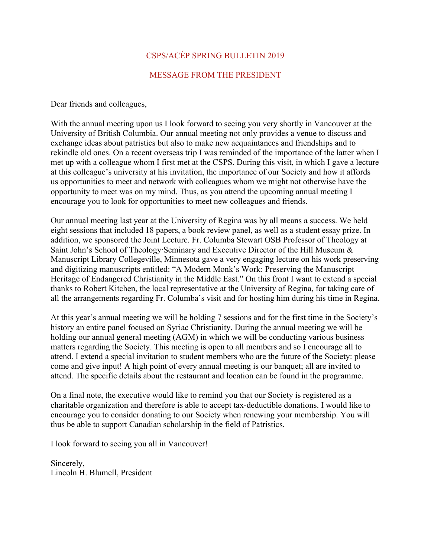## CSPS/ACÉP SPRING BULLETIN 2019

## MESSAGE FROM THE PRESIDENT

Dear friends and colleagues,

With the annual meeting upon us I look forward to seeing you very shortly in Vancouver at the University of British Columbia. Our annual meeting not only provides a venue to discuss and exchange ideas about patristics but also to make new acquaintances and friendships and to rekindle old ones. On a recent overseas trip I was reminded of the importance of the latter when I met up with a colleague whom I first met at the CSPS. During this visit, in which I gave a lecture at this colleague's university at his invitation, the importance of our Society and how it affords us opportunities to meet and network with colleagues whom we might not otherwise have the opportunity to meet was on my mind. Thus, as you attend the upcoming annual meeting I encourage you to look for opportunities to meet new colleagues and friends.

Our annual meeting last year at the University of Regina was by all means a success. We held eight sessions that included 18 papers, a book review panel, as well as a student essay prize. In addition, we sponsored the Joint Lecture. Fr. Columba Stewart OSB Professor of Theology at Saint John's School of Theology·Seminary and Executive Director of the Hill Museum & Manuscript Library Collegeville, Minnesota gave a very engaging lecture on his work preserving and digitizing manuscripts entitled: "A Modern Monk's Work: Preserving the Manuscript Heritage of Endangered Christianity in the Middle East." On this front I want to extend a special thanks to Robert Kitchen, the local representative at the University of Regina, for taking care of all the arrangements regarding Fr. Columba's visit and for hosting him during his time in Regina.

At this year's annual meeting we will be holding 7 sessions and for the first time in the Society's history an entire panel focused on Syriac Christianity. During the annual meeting we will be holding our annual general meeting (AGM) in which we will be conducting various business matters regarding the Society. This meeting is open to all members and so I encourage all to attend. I extend a special invitation to student members who are the future of the Society: please come and give input! A high point of every annual meeting is our banquet; all are invited to attend. The specific details about the restaurant and location can be found in the programme.

On a final note, the executive would like to remind you that our Society is registered as a charitable organization and therefore is able to accept tax-deductible donations. I would like to encourage you to consider donating to our Society when renewing your membership. You will thus be able to support Canadian scholarship in the field of Patristics.

I look forward to seeing you all in Vancouver!

Sincerely, Lincoln H. Blumell, President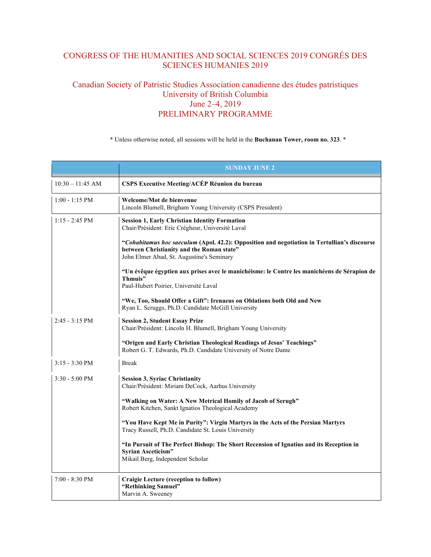# CONGRESS OF THE HUMANITIES AND SOCIAL SCIENCES 2019 CONGRÉS DES SCIENCES HUMANIES 2019

## Canadian Society of Patristic Studies Association canadienne des études patristiques University of British Columbia June 2–4, 2019 PRELIMINARY PROGRAMME

\* Unless otherwise noted, all sessions will be held in the **Buchanan Tower, room no. 323**. \*

|                    | <b>SUNDAY JUNE 2</b>                                                                                                                                                                   |
|--------------------|----------------------------------------------------------------------------------------------------------------------------------------------------------------------------------------|
| $10:30 - 11:45$ AM | CSPS Executive Meeting/ACÉP Réunion du bureau                                                                                                                                          |
| $1:00 - 1:15$ PM   | Welcome/Mot de bienvenue<br>Lincoln Blumell, Brigham Young University (CSPS President)                                                                                                 |
| $1:15 - 2:45$ PM   | <b>Session 1, Early Christian Identity Formation</b><br>Chair/Président: Eric Crégheur, Université Laval                                                                               |
|                    | "Cohabitamus hoc saeculum (Apol. 42.2): Opposition and negotiation in Tertullian's discourse<br>between Christianity and the Roman state"<br>John Elmer Abad, St. Augustine's Seminary |
|                    | "Un évêque égyptien aux prises avec le manichéisme: le Contre les manichéens de Sérapion de<br>Thmuis"<br>Paul-Hubert Poirier, Université Laval                                        |
|                    | "We, Too, Should Offer a Gift": Irenaeus on Oblations both Old and New<br>Ryan L. Scruggs, Ph.D. Candidate McGill University                                                           |
| $2:45 - 3:15$ PM   | <b>Session 2, Student Essay Prize</b><br>Chair/Président: Lincoln H. Blumell, Brigham Young University                                                                                 |
|                    | "Origen and Early Christian Theological Readings of Jesus' Teachings"<br>Robert G. T. Edwards, Ph.D. Candidate University of Notre Dame                                                |
| $3:15 - 3:30$ PM   | <b>Break</b>                                                                                                                                                                           |
| $3:30 - 5:00$ PM   | <b>Session 3, Syriac Christianity</b><br>Chair/Président: Miriam DeCock, Aarhus University                                                                                             |
|                    | "Walking on Water: A New Metrical Homily of Jacob of Serugh"<br>Robert Kitchen, Sankt Ignatios Theological Academy                                                                     |
|                    | "You Have Kept Me in Purity": Virgin Martyrs in the Acts of the Persian Martyrs<br>Tracy Russell, Ph.D. Candidate St. Louis University                                                 |
|                    | "In Pursuit of The Perfect Bishop: The Short Recension of Ignatius and its Reception in<br>Syrian Asceticism"<br>Mikail Berg, Independent Scholar                                      |
| $7:00 - 8:30$ PM   | <b>Craigie Lecture (reception to follow)</b><br>"Rethinking Samuel"<br>Marvin A. Sweeney                                                                                               |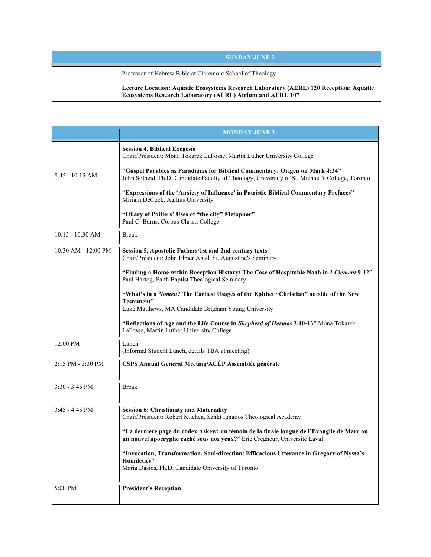| <b>SUNDAY JUNE 2</b>                                                                                                                                       |
|------------------------------------------------------------------------------------------------------------------------------------------------------------|
| Professor of Hebrew Bible at Claremont School of Theology                                                                                                  |
| Lecture Location: Aquatic Ecosystems Research Laboratory (AERL) 120 Reception: Aquatic<br><b>Ecosystems Research Laboratory (AERL) Atrium and AERL 107</b> |

|                          | <b>MONDAY JUNE 3</b>                                                                                                                                                           |
|--------------------------|--------------------------------------------------------------------------------------------------------------------------------------------------------------------------------|
|                          | <b>Session 4, Biblical Exegesis</b><br>Chair/Président: Mona Tokarek LaFosse, Martin Luther University College                                                                 |
| $8:45 - 10:15$ AM        | "Gospel Parables as Paradigms for Biblical Commentary: Origen on Mark 4:34"<br>John Solheid, Ph.D. Candidate Faculty of Theology, University of St. Michael's College, Toronto |
|                          | "Expressions of the 'Anxiety of Influence' in Patristic Biblical Commentary Prefaces"<br>Miriam DeCock, Aarhus University                                                      |
|                          | "Hilary of Poitiers' Uses of "the city" Metaphor"<br>Paul C. Burns, Corpus Christi College                                                                                     |
| 10:15 - 10:30 AM         | <b>Break</b>                                                                                                                                                                   |
| 10:30 AM - 12:00 PM      | Session 5, Apostolic Fathers/1st and 2nd century texts<br>Chair/Président: John Elmer Abad, St. Augustine's Seminary                                                           |
|                          | "Finding a Home within Reception History: The Case of Hospitable Noah in 1 Clement 9-12"<br>Paul Hartog, Faith Baptist Theological Seminary                                    |
|                          | "What's in a Nomen? The Earliest Usages of the Epithet "Christian" outside of the New<br>Testament"<br>Luke Matthews, MA Candidate Brigham Young University                    |
|                          | "Reflections of Age and the Life Course in Shepherd of Hermas 3.10-13" Mona Tokarek<br>LaFosse, Martin Luther University College                                               |
| 12:00 PM                 | Lunch<br>(Informal Student Lunch, details TBA at meeting)                                                                                                                      |
| 2:15 PM - 3:30 PM        | CSPS Annual General Meeting/ACÉP Assemblée générale                                                                                                                            |
| $3:30 - 3:45$ PM         | <b>Break</b>                                                                                                                                                                   |
| $3:45 - 4:45 \text{ PM}$ | <b>Session 6: Christianity and Materiality</b><br>Chair/Président: Robert Kitchen, Sankt Ignatios Theological Academy                                                          |
|                          | "La dernière page du codex Askew: un témoin de la finale longue de l'Évangile de Marc ou<br>un nouvel apocryphe caché sous nos yeux?" Eric Crégheur, Université Laval          |
|                          | "Invocation, Transformation, Soul-direction: Efficacious Utterance in Gregory of Nyssa's<br>Homiletics"<br>Maria Dasios, Ph.D. Candidate University of Toronto                 |
| 5:00 PM                  | <b>President's Reception</b>                                                                                                                                                   |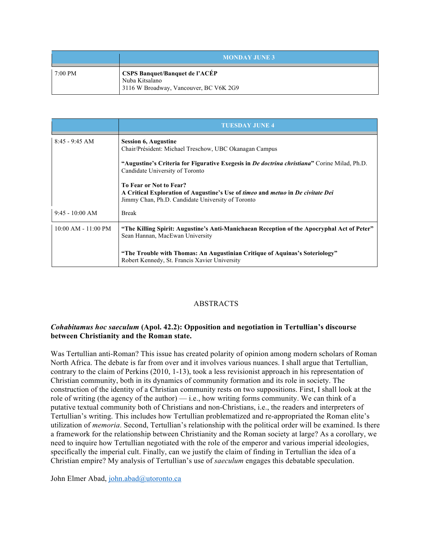|         | <b>MONDAY JUNE 3</b>                                                                              |
|---------|---------------------------------------------------------------------------------------------------|
| 7:00 PM | <b>CSPS Banquet/Banquet de l'ACÉP</b><br>Nuba Kitsalano<br>3116 W Broadway, Vancouver, BC V6K 2G9 |

|                         | <b>TUESDAY JUNE 4</b>                                                                                                                                                                |
|-------------------------|--------------------------------------------------------------------------------------------------------------------------------------------------------------------------------------|
| $8:45 - 9:45$ AM        | <b>Session 6, Augustine</b><br>Chair/Président: Michael Treschow, UBC Okanagan Campus                                                                                                |
|                         | "Augustine's Criteria for Figurative Exegesis in <i>De doctrina christiana</i> " Corine Milad, Ph.D.<br>Candidate University of Toronto                                              |
|                         | To Fear or Not to Fear?<br>A Critical Exploration of Augustine's Use of <i>timeo</i> and <i>metuo</i> in <i>De civitate Dei</i><br>Jimmy Chan, Ph.D. Candidate University of Toronto |
| $9:45 - 10:00$ AM       | <b>Break</b>                                                                                                                                                                         |
| $10:00$ AM - $11:00$ PM | "The Killing Spirit: Augustine's Anti-Manichaean Reception of the Apocryphal Act of Peter"<br>Sean Hannan, MacEwan University                                                        |
|                         | "The Trouble with Thomas: An Augustinian Critique of Aquinas's Soteriology"<br>Robert Kennedy, St. Francis Xavier University                                                         |

## ABSTRACTS

## *Cohabitamus hoc saeculum* **(Apol. 42.2): Opposition and negotiation in Tertullian's discourse between Christianity and the Roman state.**

Was Tertullian anti-Roman? This issue has created polarity of opinion among modern scholars of Roman North Africa. The debate is far from over and it involves various nuances. I shall argue that Tertullian, contrary to the claim of Perkins (2010, 1-13), took a less revisionist approach in his representation of Christian community, both in its dynamics of community formation and its role in society. The construction of the identity of a Christian community rests on two suppositions. First, I shall look at the role of writing (the agency of the author)  $-$  i.e., how writing forms community. We can think of a putative textual community both of Christians and non-Christians, i.e., the readers and interpreters of Tertullian's writing. This includes how Tertullian problematized and re-appropriated the Roman elite's utilization of *memoria*. Second, Tertullian's relationship with the political order will be examined. Is there a framework for the relationship between Christianity and the Roman society at large? As a corollary, we need to inquire how Tertullian negotiated with the role of the emperor and various imperial ideologies, specifically the imperial cult. Finally, can we justify the claim of finding in Tertullian the idea of a Christian empire? My analysis of Tertullian's use of *saeculum* engages this debatable speculation.

John Elmer Abad, john.abad@utoronto.ca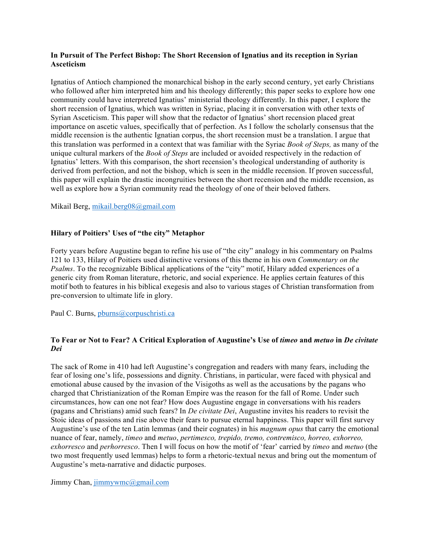## **In Pursuit of The Perfect Bishop: The Short Recension of Ignatius and its reception in Syrian Asceticism**

Ignatius of Antioch championed the monarchical bishop in the early second century, yet early Christians who followed after him interpreted him and his theology differently; this paper seeks to explore how one community could have interpreted Ignatius' ministerial theology differently. In this paper, I explore the short recension of Ignatius, which was written in Syriac, placing it in conversation with other texts of Syrian Asceticism. This paper will show that the redactor of Ignatius' short recension placed great importance on ascetic values, specifically that of perfection. As I follow the scholarly consensus that the middle recension is the authentic Ignatian corpus, the short recension must be a translation. I argue that this translation was performed in a context that was familiar with the Syriac *Book of Steps,* as many of the unique cultural markers of the *Book of Steps* are included or avoided respectively in the redaction of Ignatius' letters. With this comparison, the short recension's theological understanding of authority is derived from perfection, and not the bishop, which is seen in the middle recension. If proven successful, this paper will explain the drastic incongruities between the short recension and the middle recension, as well as explore how a Syrian community read the theology of one of their beloved fathers.

Mikail Berg, mikail.berg08@gmail.com

### **Hilary of Poitiers' Uses of "the city" Metaphor**

Forty years before Augustine began to refine his use of "the city" analogy in his commentary on Psalms 121 to 133, Hilary of Poitiers used distinctive versions of this theme in his own *Commentary on the Psalms*. To the recognizable Biblical applications of the "city" motif, Hilary added experiences of a generic city from Roman literature, rhetoric, and social experience. He applies certain features of this motif both to features in his biblical exegesis and also to various stages of Christian transformation from pre-conversion to ultimate life in glory.

Paul C. Burns, pburns@corpuschristi.ca

## **To Fear or Not to Fear? A Critical Exploration of Augustine's Use of** *timeo* **and** *metuo* **in** *De civitate Dei*

The sack of Rome in 410 had left Augustine's congregation and readers with many fears, including the fear of losing one's life, possessions and dignity. Christians, in particular, were faced with physical and emotional abuse caused by the invasion of the Visigoths as well as the accusations by the pagans who charged that Christianization of the Roman Empire was the reason for the fall of Rome. Under such circumstances, how can one not fear? How does Augustine engage in conversations with his readers (pagans and Christians) amid such fears? In *De civitate Dei*, Augustine invites his readers to revisit the Stoic ideas of passions and rise above their fears to pursue eternal happiness. This paper will first survey Augustine's use of the ten Latin lemmas (and their cognates) in his *magnum opus* that carry the emotional nuance of fear, namely, *timeo* and *metuo*, *pertimesco, trepido, tremo, contremisco, horreo, exhorreo, exhorresco* and *perhorresco*. Then I will focus on how the motif of 'fear' carried by *timeo* and *metuo* (the two most frequently used lemmas) helps to form a rhetoric-textual nexus and bring out the momentum of Augustine's meta-narrative and didactic purposes.

Jimmy Chan, jimmywmc@gmail.com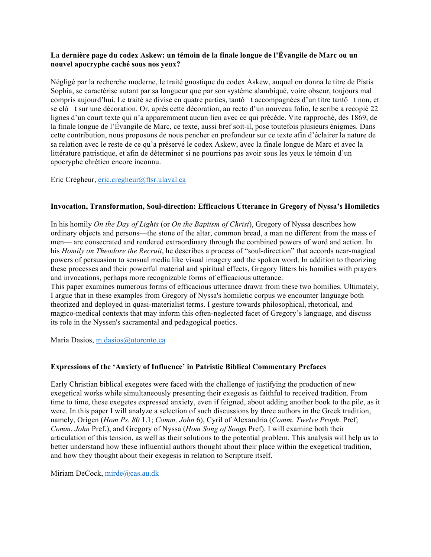## **La dernière page du codex Askew: un témoin de la finale longue de l'Évangile de Marc ou un nouvel apocryphe caché sous nos yeux?**

Négligé par la recherche moderne, le traité gnostique du codex Askew, auquel on donna le titre de Pistis Sophia, se caractérise autant par sa longueur que par son système alambiqué, voire obscur, toujours mal compris aujourd'hui. Le traité se divise en quatre parties, tantô t accompagnées d'un titre tantô t non, et se clô t sur une décoration. Or, après cette décoration, au recto d'un nouveau folio, le scribe a recopié 22 lignes d'un court texte qui n'a apparemment aucun lien avec ce qui précède. Vite rapproché, dès 1869, de la finale longue de l'Évangile de Marc, ce texte, aussi bref soit-il, pose toutefois plusieurs énigmes. Dans cette contribution, nous proposons de nous pencher en profondeur sur ce texte afin d'éclairer la nature de sa relation avec le reste de ce qu'a préservé le codex Askew, avec la finale longue de Marc et avec la littérature patristique, et afin de déterminer si ne pourrions pas avoir sous les yeux le témoin d'un apocryphe chrétien encore inconnu.

## Eric Crégheur, eric.cregheur@ftsr.ulaval.ca

## **Invocation, Transformation, Soul-direction: Efficacious Utterance in Gregory of Nyssa's Homiletics**

In his homily *On the Day of Lights* (or *On the Baptism of Christ*), Gregory of Nyssa describes how ordinary objects and persons—the stone of the altar, common bread, a man no different from the mass of men— are consecrated and rendered extraordinary through the combined powers of word and action. In his *Homily on Theodore the Recruit*, he describes a process of "soul-direction" that accords near-magical powers of persuasion to sensual media like visual imagery and the spoken word. In addition to theorizing these processes and their powerful material and spiritual effects, Gregory litters his homilies with prayers and invocations, perhaps more recognizable forms of efficacious utterance.

This paper examines numerous forms of efficacious utterance drawn from these two homilies. Ultimately, I argue that in these examples from Gregory of Nyssa's homiletic corpus we encounter language both theorized and deployed in quasi-materialist terms. I gesture towards philosophical, rhetorical, and magico-medical contexts that may inform this often-neglected facet of Gregory's language, and discuss its role in the Nyssen's sacramental and pedagogical poetics.

Maria Dasios, m.dasios@utoronto.ca

### **Expressions of the 'Anxiety of Influence' in Patristic Biblical Commentary Prefaces**

Early Christian biblical exegetes were faced with the challenge of justifying the production of new exegetical works while simultaneously presenting their exegesis as faithful to received tradition. From time to time, these exegetes expressed anxiety, even if feigned, about adding another book to the pile, as it were. In this paper I will analyze a selection of such discussions by three authors in the Greek tradition, namely, Origen (*Hom Ps. 80* 1.1; *Comm. John* 6), Cyril of Alexandria (*Comm. Twelve Proph*. Pref; *Comm. John* Pref.), and Gregory of Nyssa (*Hom Song of Songs* Pref). I will examine both their articulation of this tension, as well as their solutions to the potential problem. This analysis will help us to better understand how these influential authors thought about their place within the exegetical tradition, and how they thought about their exegesis in relation to Scripture itself.

Miriam DeCock, mirde@cas.au.dk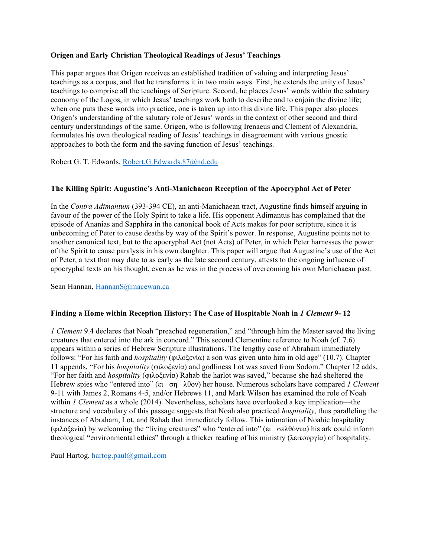## **Origen and Early Christian Theological Readings of Jesus' Teachings**

This paper argues that Origen receives an established tradition of valuing and interpreting Jesus' teachings as a corpus, and that he transforms it in two main ways. First, he extends the unity of Jesus' teachings to comprise all the teachings of Scripture. Second, he places Jesus' words within the salutary economy of the Logos, in which Jesus' teachings work both to describe and to enjoin the divine life; when one puts these words into practice, one is taken up into this divine life. This paper also places Origen's understanding of the salutary role of Jesus' words in the context of other second and third century understandings of the same. Origen, who is following Irenaeus and Clement of Alexandria, formulates his own theological reading of Jesus' teachings in disagreement with various gnostic approaches to both the form and the saving function of Jesus' teachings.

Robert G. T. Edwards, Robert.G.Edwards.87@nd.edu

## **The Killing Spirit: Augustine's Anti-Manichaean Reception of the Apocryphal Act of Peter**

In the *Contra Adimantum* (393-394 CE), an anti-Manichaean tract, Augustine finds himself arguing in favour of the power of the Holy Spirit to take a life. His opponent Adimantus has complained that the episode of Ananias and Sapphira in the canonical book of Acts makes for poor scripture, since it is unbecoming of Peter to cause deaths by way of the Spirit's power. In response, Augustine points not to another canonical text, but to the apocryphal Act (not Acts) of Peter, in which Peter harnesses the power of the Spirit to cause paralysis in his own daughter. This paper will argue that Augustine's use of the Act of Peter, a text that may date to as early as the late second century, attests to the ongoing influence of apocryphal texts on his thought, even as he was in the process of overcoming his own Manichaean past.

Sean Hannan, HannanS@macewan.ca

## **Finding a Home within Reception History: The Case of Hospitable Noah in** *1 Clement* **9- 12**

*1 Clement* 9.4 declares that Noah "preached regeneration," and "through him the Master saved the living creatures that entered into the ark in concord." This second Clementine reference to Noah (cf. 7.6) appears within a series of Hebrew Scripture illustrations. The lengthy case of Abraham immediately follows: "For his faith and *hospitality* (φιλοξενία) a son was given unto him in old age" (10.7). Chapter 11 appends, "For his *hospitality* (φιλοξενία) and godliness Lot was saved from Sodom." Chapter 12 adds, "For her faith and *hospitality* (φιλοξενία) Rahab the harlot was saved," because she had sheltered the Hebrew spies who "entered into" (ει ση λθον) her house. Numerous scholars have compared *1 Clement* 9-11 with James 2, Romans 4-5, and/or Hebrews 11, and Mark Wilson has examined the role of Noah within *1 Clement* as a whole (2014). Nevertheless, scholars have overlooked a key implication—the structure and vocabulary of this passage suggests that Noah also practiced *hospitality*, thus paralleling the instances of Abraham, Lot, and Rahab that immediately follow. This intimation of Noahic hospitality (φιλοξενία) by welcoming the "living creatures" who "entered into" (ει σελθόντα) his ark could inform theological "environmental ethics" through a thicker reading of his ministry (λειτουργία) of hospitality.

Paul Hartog, hartog.paul@gmail.com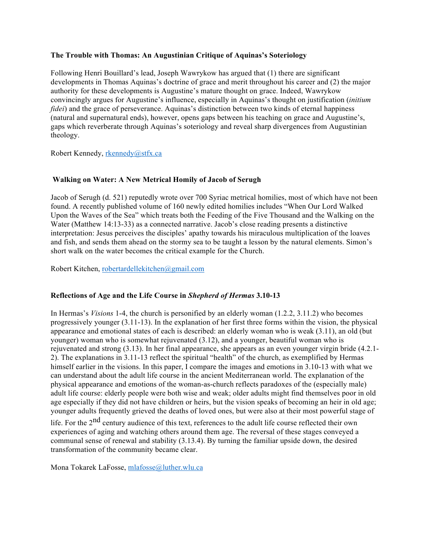### **The Trouble with Thomas: An Augustinian Critique of Aquinas's Soteriology**

Following Henri Bouillard's lead, Joseph Wawrykow has argued that (1) there are significant developments in Thomas Aquinas's doctrine of grace and merit throughout his career and (2) the major authority for these developments is Augustine's mature thought on grace. Indeed, Wawrykow convincingly argues for Augustine's influence, especially in Aquinas's thought on justification (*initium fidei*) and the grace of perseverance. Aquinas's distinction between two kinds of eternal happiness (natural and supernatural ends), however, opens gaps between his teaching on grace and Augustine's, gaps which reverberate through Aquinas's soteriology and reveal sharp divergences from Augustinian theology.

Robert Kennedy, rkennedy@stfx.ca

### **Walking on Water: A New Metrical Homily of Jacob of Serugh**

Jacob of Serugh (d. 521) reputedly wrote over 700 Syriac metrical homilies, most of which have not been found. A recently published volume of 160 newly edited homilies includes "When Our Lord Walked Upon the Waves of the Sea" which treats both the Feeding of the Five Thousand and the Walking on the Water (Matthew 14:13-33) as a connected narrative. Jacob's close reading presents a distinctive interpretation: Jesus perceives the disciples' apathy towards his miraculous multiplication of the loaves and fish, and sends them ahead on the stormy sea to be taught a lesson by the natural elements. Simon's short walk on the water becomes the critical example for the Church.

Robert Kitchen, robertardellekitchen@gmail.com

#### **Reflections of Age and the Life Course in** *Shepherd of Hermas* **3.10-13**

In Hermas's *Visions* 1-4, the church is personified by an elderly woman (1.2.2, 3.11.2) who becomes progressively younger (3.11-13). In the explanation of her first three forms within the vision, the physical appearance and emotional states of each is described: an elderly woman who is weak (3.11), an old (but younger) woman who is somewhat rejuvenated (3.12), and a younger, beautiful woman who is rejuvenated and strong (3.13). In her final appearance, she appears as an even younger virgin bride (4.2.1- 2). The explanations in 3.11-13 reflect the spiritual "health" of the church, as exemplified by Hermas himself earlier in the visions. In this paper, I compare the images and emotions in 3.10-13 with what we can understand about the adult life course in the ancient Mediterranean world. The explanation of the physical appearance and emotions of the woman-as-church reflects paradoxes of the (especially male) adult life course: elderly people were both wise and weak; older adults might find themselves poor in old age especially if they did not have children or heirs, but the vision speaks of becoming an heir in old age; younger adults frequently grieved the deaths of loved ones, but were also at their most powerful stage of

life. For the 2<sup>nd</sup> century audience of this text, references to the adult life course reflected their own experiences of aging and watching others around them age. The reversal of these stages conveyed a communal sense of renewal and stability (3.13.4). By turning the familiar upside down, the desired transformation of the community became clear.

Mona Tokarek LaFosse, mlafosse@luther.wlu.ca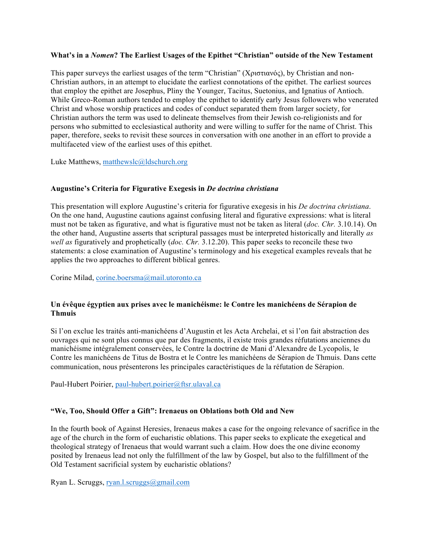### **What's in a** *Nomen***? The Earliest Usages of the Epithet "Christian" outside of the New Testament**

This paper surveys the earliest usages of the term "Christian" (Χριστιανός), by Christian and non-Christian authors, in an attempt to elucidate the earliest connotations of the epithet. The earliest sources that employ the epithet are Josephus, Pliny the Younger, Tacitus, Suetonius, and Ignatius of Antioch. While Greco-Roman authors tended to employ the epithet to identify early Jesus followers who venerated Christ and whose worship practices and codes of conduct separated them from larger society, for Christian authors the term was used to delineate themselves from their Jewish co-religionists and for persons who submitted to ecclesiastical authority and were willing to suffer for the name of Christ. This paper, therefore, seeks to revisit these sources in conversation with one another in an effort to provide a multifaceted view of the earliest uses of this epithet.

Luke Matthews, matthewslc@ldschurch.org

### **Augustine's Criteria for Figurative Exegesis in** *De doctrina christiana*

This presentation will explore Augustine's criteria for figurative exegesis in his *De doctrina christiana*. On the one hand, Augustine cautions against confusing literal and figurative expressions: what is literal must not be taken as figurative, and what is figurative must not be taken as literal (*doc. Chr.* 3.10.14). On the other hand, Augustine asserts that scriptural passages must be interpreted historically and literally *as well as* figuratively and prophetically (*doc. Chr.* 3.12.20). This paper seeks to reconcile these two statements: a close examination of Augustine's terminology and his exegetical examples reveals that he applies the two approaches to different biblical genres.

Corine Milad, corine.boersma@mail.utoronto.ca

### **Un évêque égyptien aux prises avec le manichéisme: le Contre les manichéens de Sérapion de Thmuis**

Si l'on exclue les traités anti-manichéens d'Augustin et les Acta Archelai, et si l'on fait abstraction des ouvrages qui ne sont plus connus que par des fragments, il existe trois grandes réfutations anciennes du manichéisme intégralement conservées, le Contre la doctrine de Mani d'Alexandre de Lycopolis, le Contre les manichéens de Titus de Bostra et le Contre les manichéens de Sérapion de Thmuis. Dans cette communication, nous présenterons les principales caractéristiques de la réfutation de Sérapion.

Paul-Hubert Poirier, paul-hubert.poirier@ftsr.ulaval.ca

### **"We, Too, Should Offer a Gift": Irenaeus on Oblations both Old and New**

In the fourth book of Against Heresies, Irenaeus makes a case for the ongoing relevance of sacrifice in the age of the church in the form of eucharistic oblations. This paper seeks to explicate the exegetical and theological strategy of Irenaeus that would warrant such a claim. How does the one divine economy posited by Irenaeus lead not only the fulfillment of the law by Gospel, but also to the fulfillment of the Old Testament sacrificial system by eucharistic oblations?

Ryan L. Scruggs, ryan.l.scruggs@gmail.com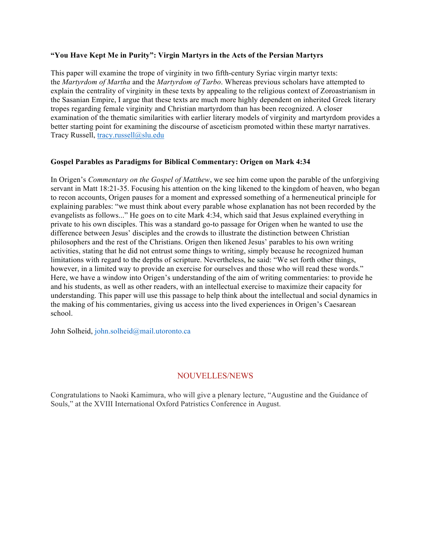#### **"You Have Kept Me in Purity": Virgin Martyrs in the Acts of the Persian Martyrs**

This paper will examine the trope of virginity in two fifth-century Syriac virgin martyr texts: the *Martyrdom of Martha* and the *Martyrdom of Tarbo*. Whereas previous scholars have attempted to explain the centrality of virginity in these texts by appealing to the religious context of Zoroastrianism in the Sasanian Empire, I argue that these texts are much more highly dependent on inherited Greek literary tropes regarding female virginity and Christian martyrdom than has been recognized. A closer examination of the thematic similarities with earlier literary models of virginity and martyrdom provides a better starting point for examining the discourse of asceticism promoted within these martyr narratives. Tracy Russell, tracy.russell@slu.edu

### **Gospel Parables as Paradigms for Biblical Commentary: Origen on Mark 4:34**

In Origen's *Commentary on the Gospel of Matthew*, we see him come upon the parable of the unforgiving servant in Matt 18:21-35. Focusing his attention on the king likened to the kingdom of heaven, who began to recon accounts, Origen pauses for a moment and expressed something of a hermeneutical principle for explaining parables: "we must think about every parable whose explanation has not been recorded by the evangelists as follows..." He goes on to cite Mark 4:34, which said that Jesus explained everything in private to his own disciples. This was a standard go-to passage for Origen when he wanted to use the difference between Jesus' disciples and the crowds to illustrate the distinction between Christian philosophers and the rest of the Christians. Origen then likened Jesus' parables to his own writing activities, stating that he did not entrust some things to writing, simply because he recognized human limitations with regard to the depths of scripture. Nevertheless, he said: "We set forth other things, however, in a limited way to provide an exercise for ourselves and those who will read these words." Here, we have a window into Origen's understanding of the aim of writing commentaries: to provide he and his students, as well as other readers, with an intellectual exercise to maximize their capacity for understanding. This paper will use this passage to help think about the intellectual and social dynamics in the making of his commentaries, giving us access into the lived experiences in Origen's Caesarean school.

John Solheid, john.solheid@mail.utoronto.ca

## NOUVELLES/NEWS

Congratulations to Naoki Kamimura, who will give a plenary lecture, "Augustine and the Guidance of Souls," at the XVIII International Oxford Patristics Conference in August.